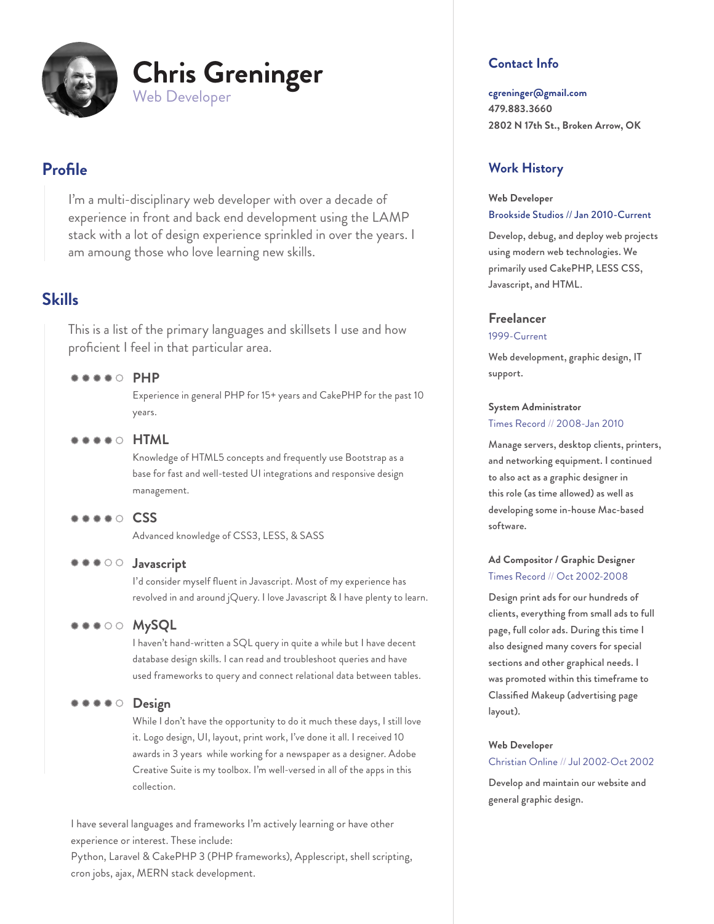

# **Profile**

I'm a multi-disciplinary web developer with over a decade of experience in front and back end development using the LAMP stack with a lot of design experience sprinkled in over the years. I am amoung those who love learning new skills.

## **Skills**

This is a list of the primary languages and skillsets I use and how proficient I feel in that particular area.

### **PHP**

Experience in general PHP for 15+ years and CakePHP for the past 10 years.

 $\bullet \bullet \bullet \circ$  **HTML** 

Knowledge of HTML5 concepts and frequently use Bootstrap as a base for fast and well-tested UI integrations and responsive design management.

### **CSS**

Advanced knowledge of CSS3, LESS, & SASS

### $\bullet \bullet \circ \circ$  Javascript

I'd consider myself fluent in Javascript. Most of my experience has revolved in and around jQuery. I love Javascript & I have plenty to learn.

**MySQL**

I haven't hand-written a SQL query in quite a while but I have decent database design skills. I can read and troubleshoot queries and have used frameworks to query and connect relational data between tables.

#### $\begin{array}{cccccccccccccc} \bullet & \bullet & \bullet & \bullet & \bullet & \circ \end{array}$ **Design**

While I don't have the opportunity to do it much these days, I still love it. Logo design, UI, layout, print work, I've done it all. I received 10 awards in 3 years while working for a newspaper as a designer. Adobe Creative Suite is my toolbox. I'm well-versed in all of the apps in this collection.

I have several languages and frameworks I'm actively learning or have other experience or interest. These include:

Python, Laravel & CakePHP 3 (PHP frameworks), Applescript, shell scripting, cron jobs, ajax, MERN stack development.

### **Contact Info**

**cgreninger@gmail.com 479.883.3660 2802 N 17th St., Broken Arrow, OK**

### **Work History**

### **Web Developer** Brookside Studios // Jan 2010-Current

Develop, debug, and deploy web projects using modern web technologies. We primarily used CakePHP, LESS CSS, Javascript, and HTML.

### **Freelancer**

#### 1999-Current

Web development, graphic design, IT support.

# **System Administrator**

#### Times Record // 2008-Jan 2010

Manage servers, desktop clients, printers, and networking equipment. I continued to also act as a graphic designer in this role (as time allowed) as well as developing some in-house Mac-based software.

### **Ad Compositor / Graphic Designer** Times Record // Oct 2002-2008

Design print ads for our hundreds of clients, everything from small ads to full page, full color ads. During this time I also designed many covers for special sections and other graphical needs. I was promoted within this timeframe to Classified Makeup (advertising page layout).

#### **Web Developer**

#### Christian Online // Jul 2002-Oct 2002

Develop and maintain our website and general graphic design.